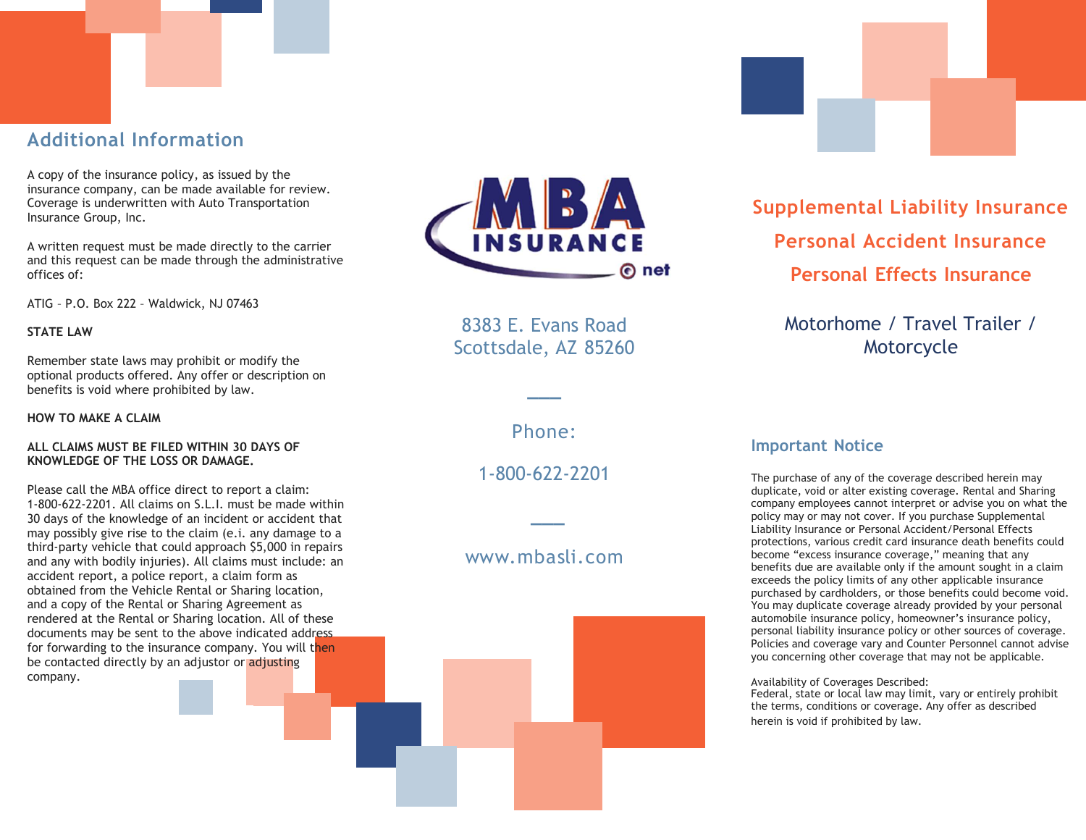## Additional Information

A copy of the insurance policy, as issued by the insurance company, can be made available for review. Coverage is underwritten with Auto Transportation Insurance Group, Inc.

A written request must be made directly to the carrier and this request can be made through the administrative offices of:

ATIG – P.O. Box 222 – Waldwick, NJ 07463

#### STATE LAW

Remember state laws may prohibit or modify the optional products offered. Any offer or description on benefits is void where prohibited by law.

HOW TO MAKE A CLAIM

#### ALL CLAIMS MUST BE FILED WITHIN 30 DAYS OF KNOWLEDGE OF THE LOSS OR DAMAGE.

Please call the MBA office direct to report a claim: 1-800-622-2201. All claims on S.L.I. must be made within 30 days of the knowledge of an incident or accident that may possibly give rise to the claim (e.i. any damage to a third-party vehicle that could approach \$5,000 in repairs and any with bodily injuries). All claims must include: an accident report, a police report, a claim form as obtained from the Vehicle Rental or Sharing location, and a copy of the Rental or Sharing Agreement as rendered at the Rental or Sharing location. All of these documents may be sent to the above indicated address for forwarding to the insurance company. You will then be contacted directly by an adjustor or adjusting company.



8383 E. Evans Road Scottsdale, AZ 85260

Phone:

**\_\_\_** 

1-800-622-2201

**\_\_\_** 

#### www. m b asli . c om



Supplemental Liability Insurance Personal Accident Insurance Personal Effects Insurance

Motorhome / Travel Trailer / Motorcycle

#### Important Notice

The purchase of any of the coverage described herein may duplicate, void or alter existing coverage. Rental and Sharing company employees cannot interpret or advise you on what the policy may or may not cover. If you purchase Supplemental Liability Insurance or Personal Accident/Personal Effects protections, various credit card insurance death benefits could become "excess insurance coverage," meaning that any benefits due are available only if the amount sought in a claim exceeds the policy limits of any other applicable insurance purchased by cardholders, or those benefits could become void. You may duplicate coverage already provided by your personal automobile insurance policy, homeowner's insurance policy, personal liability insurance policy or other sources of coverage. Policies and coverage vary and Counter Personnel cannot advise you concerning other coverage that may not be applicable.

Availability of Coverages Described:

Federal, state or local law may limit, vary or entirely prohibit the terms, conditions or coverage. Any offer as described herein is void if prohibited by law.